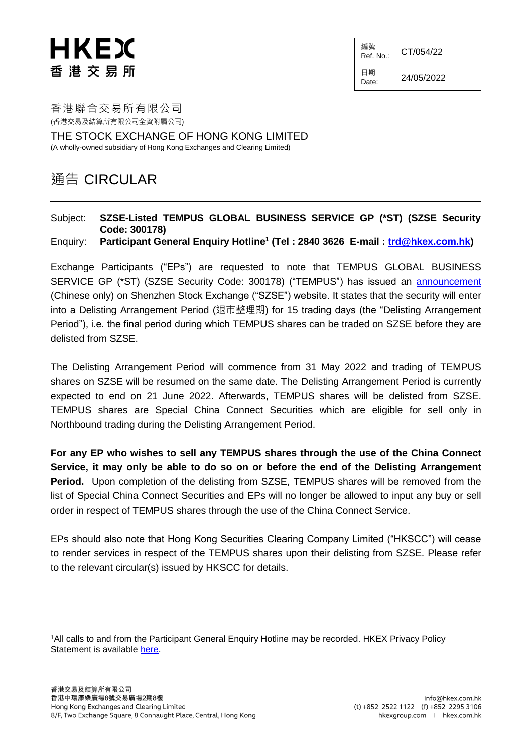## HKEX 香港交易所

編號  $Ref. No.:$  CT/054/22

日期

 $D_{\text{date}:}$  24/05/2022

香港聯合交易所有限公司 (香港交易及結算所有限公司全資附屬公司)

THE STOCK EXCHANGE OF HONG KONG LIMITED (A wholly-owned subsidiary of Hong Kong Exchanges and Clearing Limited)

## 通告 CIRCULAR

## Subject: **SZSE-Listed TEMPUS GLOBAL BUSINESS SERVICE GP (\*ST) (SZSE Security Code: 300178)**

Enquiry: **Participant General Enquiry Hotline<sup>1</sup> (Tel : 2840 3626 E-mail : [trd@hkex.com.hk\)](mailto:trd@hkex.com.hk)**

Exchange Participants ("EPs") are requested to note that TEMPUS GLOBAL BUSINESS SERVICE GP (\*ST) (SZSE Security Code: 300178) ("TEMPUS") has issued an [announcement](http://www.szse.cn/disclosure/listed/bulletinDetail/index.html?8657ef4f-b89e-493e-a615-e6fae2f6f5fb) (Chinese only) on Shenzhen Stock Exchange ("SZSE") website. It states that the security will enter into a Delisting Arrangement Period (退市整理期) for 15 trading days (the "Delisting Arrangement Period"), i.e. the final period during which TEMPUS shares can be traded on SZSE before they are delisted from SZSE.

The Delisting Arrangement Period will commence from 31 May 2022 and trading of TEMPUS shares on SZSE will be resumed on the same date. The Delisting Arrangement Period is currently expected to end on 21 June 2022. Afterwards, TEMPUS shares will be delisted from SZSE. TEMPUS shares are Special China Connect Securities which are eligible for sell only in Northbound trading during the Delisting Arrangement Period.

**For any EP who wishes to sell any TEMPUS shares through the use of the China Connect Service, it may only be able to do so on or before the end of the Delisting Arrangement Period.** Upon completion of the delisting from SZSE, TEMPUS shares will be removed from the list of Special China Connect Securities and EPs will no longer be allowed to input any buy or sell order in respect of TEMPUS shares through the use of the China Connect Service.

EPs should also note that Hong Kong Securities Clearing Company Limited ("HKSCC") will cease to render services in respect of the TEMPUS shares upon their delisting from SZSE. Please refer to the relevant circular(s) issued by HKSCC for details.

l <sup>1</sup>All calls to and from the Participant General Enquiry Hotline may be recorded. HKEX Privacy Policy Statement is available [here.](http://www.hkex.com.hk/Global/Exchange/Privacy-Policy?sc_lang=en)